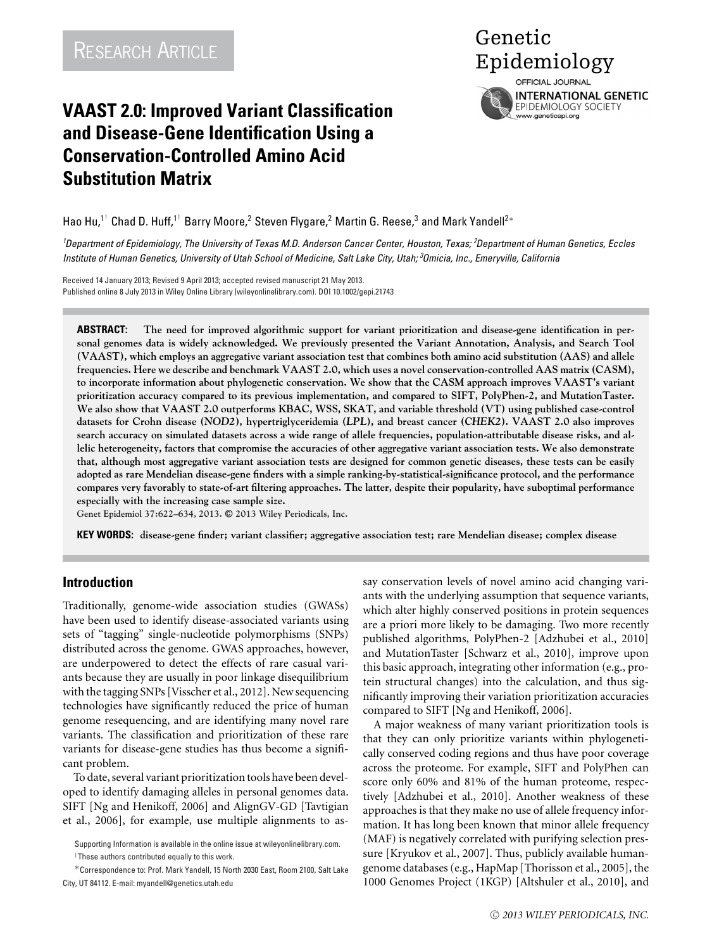# **VAAST 2.0: Improved Variant Classification and Disease-Gene Identification Using a Conservation-Controlled Amino Acid Substitution Matrix**

Genetic RESEARCH ARTICLE THE RESEARCH ARTICLE OFFICIAL JOURNAL **INTERNATIONAL GENETIC** EPIDEMIOLOGY SOCIETY

www.geneticepi.org

Hao Hu, $^{1^{\dagger}}$  Chad D. Huff, $^{1^{\dagger}}$  Barry Moore, $^2$  Steven Flygare, $^2$  Martin G. Reese, $^3$  and Mark Yandell $^{2*}$ 

*1 Department of Epidemiology, The University of Texas M.D. Anderson Cancer Center, Houston, Texas; <sup>2</sup> Department of Human Genetics, Eccles Institute of Human Genetics, University of Utah School of Medicine, Salt Lake City, Utah; <sup>3</sup> Omicia, Inc., Emeryville, California*

Received 14 January 2013; Revised 9 April 2013; accepted revised manuscript 21 May 2013. Published online 8 July 2013 in Wiley Online Library (wileyonlinelibrary.com). DOI 10.1002/gepi.21743

**ABSTRACT: The need for improved algorithmic support for variant prioritization and disease-gene identification in personal genomes data is widely acknowledged. We previously presented the Variant Annotation, Analysis, and Search Tool (VAAST), which employs an aggregative variant association test that combines both amino acid substitution (AAS) and allele frequencies. Here we describe and benchmark VAAST 2.0, which uses a novel conservation-controlled AAS matrix (CASM), to incorporate information about phylogenetic conservation. We show that the CASM approach improves VAAST's variant prioritization accuracy compared to its previous implementation, and compared to SIFT, PolyPhen-2, and MutationTaster. We also show that VAAST 2.0 outperforms KBAC, WSS, SKAT, and variable threshold (VT) using published case-control datasets for Crohn disease (***NOD2***), hypertriglyceridemia (***LPL***), and breast cancer (***CHEK2***). VAAST 2.0 also improves search accuracy on simulated datasets across a wide range of allele frequencies, population-attributable disease risks, and allelic heterogeneity, factors that compromise the accuracies of other aggregative variant association tests. We also demonstrate that, although most aggregative variant association tests are designed for common genetic diseases, these tests can be easily adopted as rare Mendelian disease-gene finders with a simple ranking-by-statistical-significance protocol, and the performance compares very favorably to state-of-art filtering approaches. The latter, despite their popularity, have suboptimal performance especially with the increasing case sample size.**

**Genet Epidemiol 37:622–634, 2013. -<sup>C</sup> 2013 Wiley Periodicals, Inc.**

**KEY WORDS: disease-gene finder; variant classifier; aggregative association test; rare Mendelian disease; complex disease**

## **Introduction**

Traditionally, genome-wide association studies (GWASs) have been used to identify disease-associated variants using sets of "tagging" single-nucleotide polymorphisms (SNPs) distributed across the genome. GWAS approaches, however, are underpowered to detect the effects of rare casual variants because they are usually in poor linkage disequilibrium with the tagging SNPs [Visscher et al., 2012]. New sequencing technologies have significantly reduced the price of human genome resequencing, and are identifying many novel rare variants. The classification and prioritization of these rare variants for disease-gene studies has thus become a significant problem.

To date, several variant prioritization tools have been developed to identify damaging alleles in personal genomes data. SIFT [Ng and Henikoff, 2006] and AlignGV-GD [Tavtigian et al., 2006], for example, use multiple alignments to assay conservation levels of novel amino acid changing variants with the underlying assumption that sequence variants, which alter highly conserved positions in protein sequences are a priori more likely to be damaging. Two more recently published algorithms, PolyPhen-2 [Adzhubei et al., 2010] and MutationTaster [Schwarz et al., 2010], improve upon this basic approach, integrating other information (e.g., protein structural changes) into the calculation, and thus significantly improving their variation prioritization accuracies compared to SIFT [Ng and Henikoff, 2006].

A major weakness of many variant prioritization tools is that they can only prioritize variants within phylogenetically conserved coding regions and thus have poor coverage across the proteome. For example, SIFT and PolyPhen can score only 60% and 81% of the human proteome, respectively [Adzhubei et al., 2010]. Another weakness of these approaches is that they make no use of allele frequency information. It has long been known that minor allele frequency (MAF) is negatively correlated with purifying selection pressure [Kryukov et al., 2007]. Thus, publicly available humangenome databases (e.g., HapMap [Thorisson et al., 2005], the 1000 Genomes Project (1KGP) [Altshuler et al., 2010], and

Supporting Information is available in the online issue at wileyonlinelibrary.com.

<sup>†</sup>These authors contributed equally to this work.

<sup>∗</sup>Correspondence to: Prof. Mark Yandell, 15 North 2030 East, Room 2100, Salt Lake City, UT 84112. E-mail: myandell@genetics.utah.edu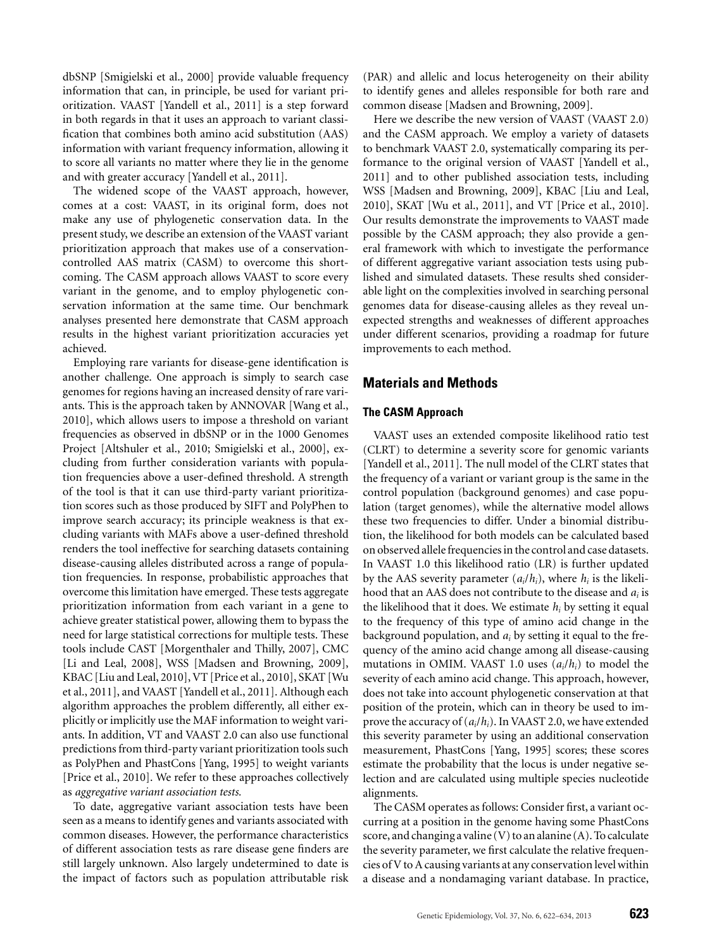dbSNP [Smigielski et al., 2000] provide valuable frequency information that can, in principle, be used for variant prioritization. VAAST [Yandell et al., 2011] is a step forward in both regards in that it uses an approach to variant classification that combines both amino acid substitution (AAS) information with variant frequency information, allowing it to score all variants no matter where they lie in the genome and with greater accuracy [Yandell et al., 2011].

The widened scope of the VAAST approach, however, comes at a cost: VAAST, in its original form, does not make any use of phylogenetic conservation data. In the present study, we describe an extension of the VAAST variant prioritization approach that makes use of a conservationcontrolled AAS matrix (CASM) to overcome this shortcoming. The CASM approach allows VAAST to score every variant in the genome, and to employ phylogenetic conservation information at the same time. Our benchmark analyses presented here demonstrate that CASM approach results in the highest variant prioritization accuracies yet achieved.

Employing rare variants for disease-gene identification is another challenge. One approach is simply to search case genomes for regions having an increased density of rare variants. This is the approach taken by ANNOVAR [Wang et al., 2010], which allows users to impose a threshold on variant frequencies as observed in dbSNP or in the 1000 Genomes Project [Altshuler et al., 2010; Smigielski et al., 2000], excluding from further consideration variants with population frequencies above a user-defined threshold. A strength of the tool is that it can use third-party variant prioritization scores such as those produced by SIFT and PolyPhen to improve search accuracy; its principle weakness is that excluding variants with MAFs above a user-defined threshold renders the tool ineffective for searching datasets containing disease-causing alleles distributed across a range of population frequencies. In response, probabilistic approaches that overcome this limitation have emerged. These tests aggregate prioritization information from each variant in a gene to achieve greater statistical power, allowing them to bypass the need for large statistical corrections for multiple tests. These tools include CAST [Morgenthaler and Thilly, 2007], CMC [Li and Leal, 2008], WSS [Madsen and Browning, 2009], KBAC [Liu and Leal, 2010], VT [Price et al., 2010], SKAT [Wu et al., 2011], and VAAST [Yandell et al., 2011]. Although each algorithm approaches the problem differently, all either explicitly or implicitly use the MAF information to weight variants. In addition, VT and VAAST 2.0 can also use functional predictions from third-party variant prioritization tools such as PolyPhen and PhastCons [Yang, 1995] to weight variants [Price et al., 2010]. We refer to these approaches collectively as *aggregative variant association tests.*

To date, aggregative variant association tests have been seen as a means to identify genes and variants associated with common diseases. However, the performance characteristics of different association tests as rare disease gene finders are still largely unknown. Also largely undetermined to date is the impact of factors such as population attributable risk

(PAR) and allelic and locus heterogeneity on their ability to identify genes and alleles responsible for both rare and common disease [Madsen and Browning, 2009].

Here we describe the new version of VAAST (VAAST 2.0) and the CASM approach. We employ a variety of datasets to benchmark VAAST 2.0, systematically comparing its performance to the original version of VAAST [Yandell et al., 2011] and to other published association tests, including WSS [Madsen and Browning, 2009], KBAC [Liu and Leal, 2010], SKAT [Wu et al., 2011], and VT [Price et al., 2010]. Our results demonstrate the improvements to VAAST made possible by the CASM approach; they also provide a general framework with which to investigate the performance of different aggregative variant association tests using published and simulated datasets. These results shed considerable light on the complexities involved in searching personal genomes data for disease-causing alleles as they reveal unexpected strengths and weaknesses of different approaches under different scenarios, providing a roadmap for future improvements to each method.

# **Materials and Methods**

## **The CASM Approach**

VAAST uses an extended composite likelihood ratio test (CLRT) to determine a severity score for genomic variants [Yandell et al., 2011]. The null model of the CLRT states that the frequency of a variant or variant group is the same in the control population (background genomes) and case population (target genomes), while the alternative model allows these two frequencies to differ. Under a binomial distribution, the likelihood for both models can be calculated based on observed allelefrequencies in the control and case datasets. In VAAST 1.0 this likelihood ratio (LR) is further updated by the AAS severity parameter  $(a_i/h_i)$ , where  $h_i$  is the likelihood that an AAS does not contribute to the disease and *ai* is the likelihood that it does. We estimate  $h_i$  by setting it equal to the frequency of this type of amino acid change in the background population, and *ai* by setting it equal to the frequency of the amino acid change among all disease-causing mutations in OMIM. VAAST 1.0 uses (*ai*/*hi*) to model the severity of each amino acid change. This approach, however, does not take into account phylogenetic conservation at that position of the protein, which can in theory be used to improve the accuracy of (*ai*/*hi*). In VAAST 2.0, we have extended this severity parameter by using an additional conservation measurement, PhastCons [Yang, 1995] scores; these scores estimate the probability that the locus is under negative selection and are calculated using multiple species nucleotide alignments.

The CASM operates as follows: Consider first, a variant occurring at a position in the genome having some PhastCons score, and changing a valine (V) to an alanine (A). To calculate the severity parameter, we first calculate the relative frequencies of V to A causing variants at any conservation level within a disease and a nondamaging variant database. In practice,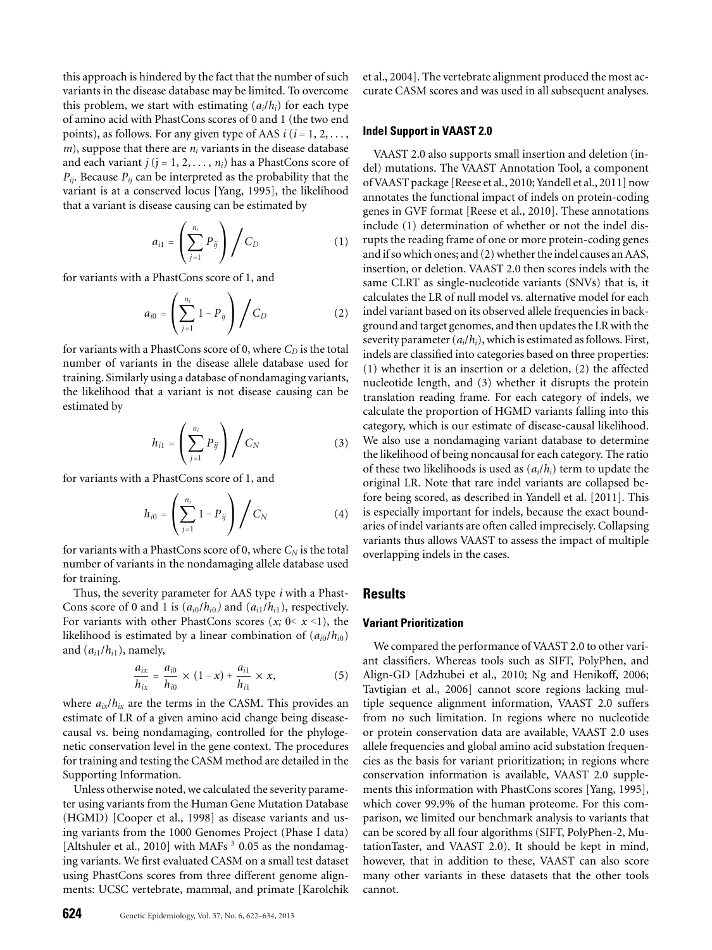this approach is hindered by the fact that the number of such variants in the disease database may be limited. To overcome this problem, we start with estimating  $(a_i/h_i)$  for each type of amino acid with PhastCons scores of 0 and 1 (the two end points), as follows. For any given type of AAS  $i$  ( $i = 1, 2, \ldots$ ,  $m$ , suppose that there are  $n_i$  variants in the disease database and each variant  $j$  ( $j = 1, 2, \ldots, n_i$ ) has a PhastCons score of *Pij*. Because *Pij* can be interpreted as the probability that the variant is at a conserved locus [Yang, 1995], the likelihood that a variant is disease causing can be estimated by

$$
a_{i1} = \left(\sum_{j=1}^{n_i} P_{ij}\right) / C_D \tag{1}
$$

for variants with a PhastCons score of 1, and

$$
a_{i0} = \left(\sum_{j=1}^{n_i} 1 - P_{ij}\right) / C_D \tag{2}
$$

for variants with a PhastCons score of 0, where  $C_D$  is the total number of variants in the disease allele database used for training. Similarly using a database of nondamaging variants, the likelihood that a variant is not disease causing can be estimated by

$$
h_{i1} = \left(\sum_{j=1}^{n_i} P_{ij}\right) / C_N \tag{3}
$$

for variants with a PhastCons score of 1, and

$$
h_{i0} = \left(\sum_{j=1}^{n_i} 1 - P_{ij}\right) / C_N \tag{4}
$$

for variants with a PhastCons score of 0, where  $C_N$  is the total number of variants in the nondamaging allele database used for training.

Thus, the severity parameter for AAS type *i* with a Phast-Cons score of 0 and 1 is  $(a_{i0}/h_{i0})$  and  $(a_{i1}/h_{i1})$ , respectively. For variants with other PhastCons scores  $(x; 0 < x < 1)$ , the likelihood is estimated by a linear combination of  $(a_{i0}/h_{i0})$ and  $(a_{i1}/h_{i1})$ , namely,

$$
\frac{a_{ix}}{h_{ix}} = \frac{a_{i0}}{h_{i0}} \times (1-x) + \frac{a_{i1}}{h_{i1}} \times x,
$$
 (5)

where  $a_{ix}/h_{ix}$  are the terms in the CASM. This provides an estimate of LR of a given amino acid change being diseasecausal vs. being nondamaging, controlled for the phylogenetic conservation level in the gene context. The procedures for training and testing the CASM method are detailed in the Supporting Information.

Unless otherwise noted, we calculated the severity parameter using variants from the Human Gene Mutation Database (HGMD) [Cooper et al., 1998] as disease variants and using variants from the 1000 Genomes Project (Phase I data) [Altshuler et al., 2010] with MAFs  $3$  0.05 as the nondamaging variants. We first evaluated CASM on a small test dataset using PhastCons scores from three different genome alignments: UCSC vertebrate, mammal, and primate [Karolchik

et al., 2004]. The vertebrate alignment produced the most accurate CASM scores and was used in all subsequent analyses.

#### **Indel Support in VAAST 2.0**

VAAST 2.0 also supports small insertion and deletion (indel) mutations. The VAAST Annotation Tool, a component of VAAST package [Reese et al., 2010; Yandell et al., 2011] now annotates the functional impact of indels on protein-coding genes in GVF format [Reese et al., 2010]. These annotations include (1) determination of whether or not the indel disrupts the reading frame of one or more protein-coding genes and if so which ones; and (2) whether the indel causes an AAS, insertion, or deletion. VAAST 2.0 then scores indels with the same CLRT as single-nucleotide variants (SNVs) that is, it calculates the LR of null model vs. alternative model for each indel variant based on its observed allele frequencies in background and target genomes, and then updates the LR with the severity parameter (*ai*/*hi*), which is estimated as follows. First, indels are classified into categories based on three properties: (1) whether it is an insertion or a deletion, (2) the affected nucleotide length, and (3) whether it disrupts the protein translation reading frame. For each category of indels, we calculate the proportion of HGMD variants falling into this category, which is our estimate of disease-causal likelihood. We also use a nondamaging variant database to determine the likelihood of being noncausal for each category. The ratio of these two likelihoods is used as (*ai*/*hi*) term to update the original LR. Note that rare indel variants are collapsed before being scored, as described in Yandell et al. [2011]. This is especially important for indels, because the exact boundaries of indel variants are often called imprecisely. Collapsing variants thus allows VAAST to assess the impact of multiple overlapping indels in the cases.

# **Results**

#### **Variant Prioritization**

We compared the performance of VAAST 2.0 to other variant classifiers. Whereas tools such as SIFT, PolyPhen, and Align-GD [Adzhubei et al., 2010; Ng and Henikoff, 2006; Tavtigian et al., 2006] cannot score regions lacking multiple sequence alignment information, VAAST 2.0 suffers from no such limitation. In regions where no nucleotide or protein conservation data are available, VAAST 2.0 uses allele frequencies and global amino acid substation frequencies as the basis for variant prioritization; in regions where conservation information is available, VAAST 2.0 supplements this information with PhastCons scores [Yang, 1995], which cover 99.9% of the human proteome. For this comparison, we limited our benchmark analysis to variants that can be scored by all four algorithms (SIFT, PolyPhen-2, MutationTaster, and VAAST 2.0). It should be kept in mind, however, that in addition to these, VAAST can also score many other variants in these datasets that the other tools cannot.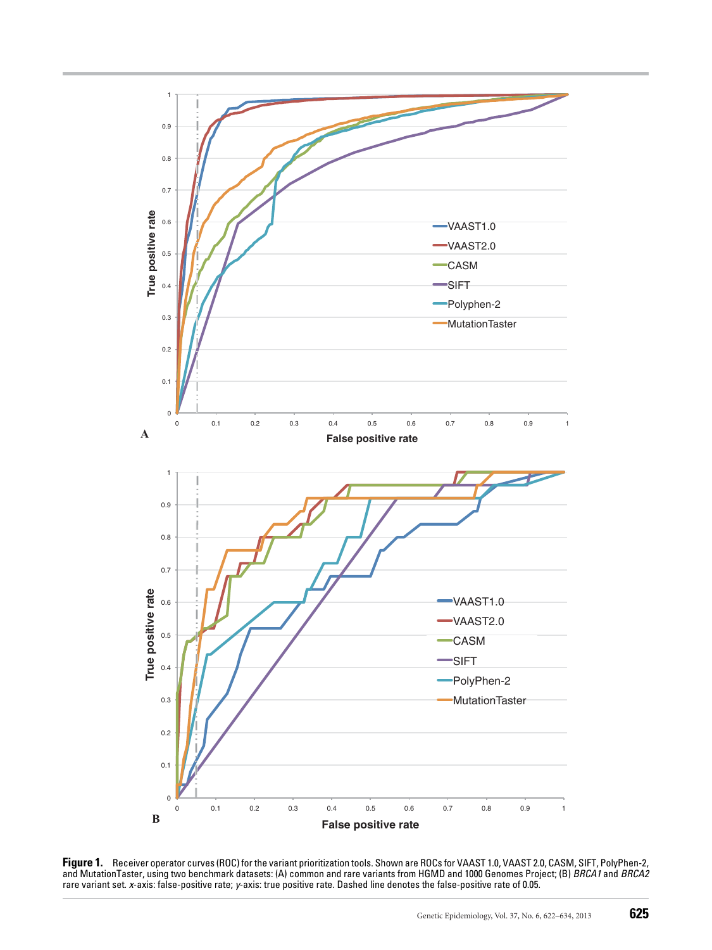

**Figure 1.** Receiver operator curves (ROC) for the variant prioritization tools. Shown are ROCs for VAAST 1.0, VAAST 2.0, CASM, SIFT, PolyPhen-2, and MutationTaster, using two benchmark datasets: (A) common and rare variants from HGMD and 1000 Genomes Project; (B) *BRCA1* and *BRCA2* rare variant set. *x*-axis: false-positive rate; *y*-axis: true positive rate. Dashed line denotes the false-positive rate of 0.05.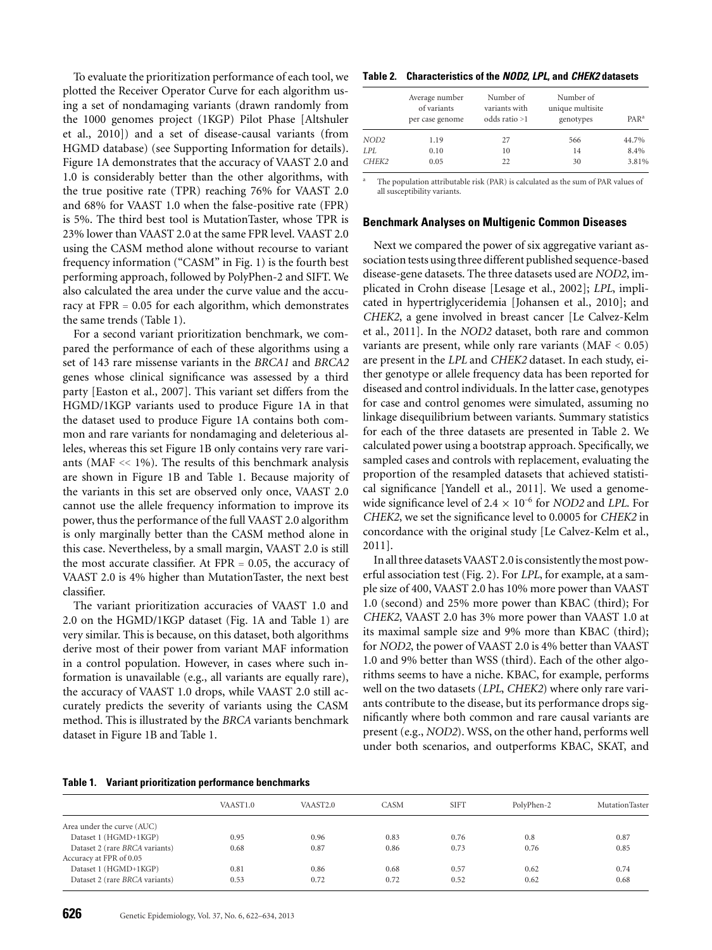To evaluate the prioritization performance of each tool, we plotted the Receiver Operator Curve for each algorithm using a set of nondamaging variants (drawn randomly from the 1000 genomes project (1KGP) Pilot Phase [Altshuler et al., 2010]) and a set of disease-causal variants (from HGMD database) (see Supporting Information for details). Figure 1A demonstrates that the accuracy of VAAST 2.0 and 1.0 is considerably better than the other algorithms, with the true positive rate (TPR) reaching 76% for VAAST 2.0 and 68% for VAAST 1.0 when the false-positive rate (FPR) is 5%. The third best tool is MutationTaster, whose TPR is 23% lower than VAAST 2.0 at the same FPR level. VAAST 2.0 using the CASM method alone without recourse to variant frequency information ("CASM" in Fig. 1) is the fourth best performing approach, followed by PolyPhen-2 and SIFT. We also calculated the area under the curve value and the accuracy at FPR = 0.05 for each algorithm, which demonstrates the same trends (Table 1).

For a second variant prioritization benchmark, we compared the performance of each of these algorithms using a set of 143 rare missense variants in the *BRCA1* and *BRCA2* genes whose clinical significance was assessed by a third party [Easton et al., 2007]. This variant set differs from the HGMD/1KGP variants used to produce Figure 1A in that the dataset used to produce Figure 1A contains both common and rare variants for nondamaging and deleterious alleles, whereas this set Figure 1B only contains very rare variants (MAF << 1%). The results of this benchmark analysis are shown in Figure 1B and Table 1. Because majority of the variants in this set are observed only once, VAAST 2.0 cannot use the allele frequency information to improve its power, thus the performance of the full VAAST 2.0 algorithm is only marginally better than the CASM method alone in this case. Nevertheless, by a small margin, VAAST 2.0 is still the most accurate classifier. At  $FPR = 0.05$ , the accuracy of VAAST 2.0 is 4% higher than MutationTaster, the next best classifier.

The variant prioritization accuracies of VAAST 1.0 and 2.0 on the HGMD/1KGP dataset (Fig. 1A and Table 1) are very similar. This is because, on this dataset, both algorithms derive most of their power from variant MAF information in a control population. However, in cases where such information is unavailable (e.g., all variants are equally rare), the accuracy of VAAST 1.0 drops, while VAAST 2.0 still accurately predicts the severity of variants using the CASM method. This is illustrated by the *BRCA* variants benchmark dataset in Figure 1B and Table 1.

#### **Table 1. Variant prioritization performance benchmarks**

## VAAST1.0 VAAST2.0 CASM SIFT PolyPhen-2 MutationTaster Area under the curve (AUC) Dataset 1 (HGMD+1KGP) 0.95 0.96 0.83 0.76 0.8 0.87 Dataset 2 (rare *BRCA* variants) 0.68 0.87 0.86 0.73 0.76 0.85 Accuracy at FPR of 0.05 Dataset 1 (HGMD+1KGP) 0.81 0.86 0.68 0.57 0.62 0.74 Dataset 2 (rare *BRCA* variants) 0.53 0.72 0.72 0.52 0.62 0.68

#### **Table 2. Characteristics of the** *NOD2***,** *LPL***, and** *CHEK2* **datasets**

|                  | Average number<br>of variants<br>per case genome | Number of<br>variants with<br>odds ratio >1 | Number of<br>unique multisite<br>genotypes | PAR <sup>a</sup> |
|------------------|--------------------------------------------------|---------------------------------------------|--------------------------------------------|------------------|
| NOD <sub>2</sub> | 1.19                                             | 27                                          | 566                                        | 44.7%            |
| LPL.             | 0.10                                             | 10                                          | 14                                         | 8.4%             |
| CHEK2            | 0.05                                             | 22                                          | 30                                         | 3.81%            |

The population attributable risk (PAR) is calculated as the sum of PAR values of all susceptibility variants.

#### **Benchmark Analyses on Multigenic Common Diseases**

Next we compared the power of six aggregative variant association tests using three different published sequence-based disease-gene datasets. The three datasets used are *NOD2*, implicated in Crohn disease [Lesage et al., 2002]; *LPL*, implicated in hypertriglyceridemia [Johansen et al., 2010]; and *CHEK2*, a gene involved in breast cancer [Le Calvez-Kelm et al., 2011]. In the *NOD2* dataset, both rare and common variants are present, while only rare variants  $(MAF < 0.05)$ are present in the *LPL* and *CHEK2* dataset. In each study, either genotype or allele frequency data has been reported for diseased and control individuals. In the latter case, genotypes for case and control genomes were simulated, assuming no linkage disequilibrium between variants. Summary statistics for each of the three datasets are presented in Table 2. We calculated power using a bootstrap approach. Specifically, we sampled cases and controls with replacement, evaluating the proportion of the resampled datasets that achieved statistical significance [Yandell et al., 2011]. We used a genomewide significance level of  $2.4 \times 10^{-6}$  for *NOD2* and *LPL*. For *CHEK2*, we set the significance level to 0.0005 for *CHEK2* in concordance with the original study [Le Calvez-Kelm et al., 2011].

In all three datasets VAAST 2.0 is consistently the most powerful association test (Fig. 2). For *LPL*, for example, at a sample size of 400, VAAST 2.0 has 10% more power than VAAST 1.0 (second) and 25% more power than KBAC (third); For *CHEK2*, VAAST 2.0 has 3% more power than VAAST 1.0 at its maximal sample size and 9% more than KBAC (third); for *NOD2*, the power of VAAST 2.0 is 4% better than VAAST 1.0 and 9% better than WSS (third). Each of the other algorithms seems to have a niche. KBAC, for example, performs well on the two datasets (*LPL*, *CHEK2*) where only rare variants contribute to the disease, but its performance drops significantly where both common and rare causal variants are present (e.g., *NOD2*). WSS, on the other hand, performs well under both scenarios, and outperforms KBAC, SKAT, and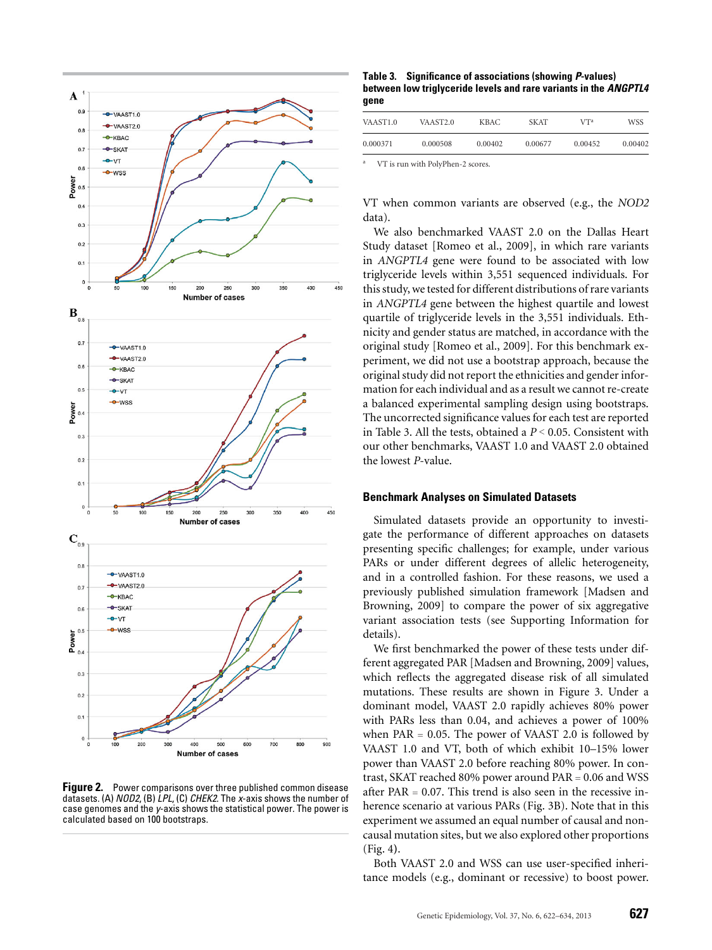

**Figure 2.** Power comparisons over three published common disease datasets. (A) *NOD2*, (B) *LPL*, (C) *CHEK2*. The *x*-axis shows the number of case genomes and the *y*-axis shows the statistical power. The power is calculated based on 100 bootstraps.

**Table 3. Significance of associations (showing** *P***-values) between low triglyceride levels and rare variants in the** *ANGPTL4* **gene**

| VAAST <sub>1.0</sub>              | VAAST <sub>2.0</sub> | <b>KBAC</b> | <b>SKAT</b> | V <sup>Ta</sup> | <b>WSS</b> |
|-----------------------------------|----------------------|-------------|-------------|-----------------|------------|
| 0.000371                          | 0.000508             | 0.00402     | 0.00677     | 0.00452         | 0.00402    |
| the company of the company of the | .                    |             |             |                 |            |

VT is run with PolyPhen-2 scores

VT when common variants are observed (e.g., the *NOD2* data).

We also benchmarked VAAST 2.0 on the Dallas Heart Study dataset [Romeo et al., 2009], in which rare variants in *ANGPTL4* gene were found to be associated with low triglyceride levels within 3,551 sequenced individuals. For this study, we tested for different distributions of rare variants in *ANGPTL4* gene between the highest quartile and lowest quartile of triglyceride levels in the 3,551 individuals. Ethnicity and gender status are matched, in accordance with the original study [Romeo et al., 2009]. For this benchmark experiment, we did not use a bootstrap approach, because the original study did not report the ethnicities and gender information for each individual and as a result we cannot re-create a balanced experimental sampling design using bootstraps. The uncorrected significance values for each test are reported in Table 3. All the tests, obtained a *P* < 0.05. Consistent with our other benchmarks, VAAST 1.0 and VAAST 2.0 obtained the lowest *P*-value.

## **Benchmark Analyses on Simulated Datasets**

Simulated datasets provide an opportunity to investigate the performance of different approaches on datasets presenting specific challenges; for example, under various PARs or under different degrees of allelic heterogeneity, and in a controlled fashion. For these reasons, we used a previously published simulation framework [Madsen and Browning, 2009] to compare the power of six aggregative variant association tests (see Supporting Information for details).

We first benchmarked the power of these tests under different aggregated PAR [Madsen and Browning, 2009] values, which reflects the aggregated disease risk of all simulated mutations. These results are shown in Figure 3. Under a dominant model, VAAST 2.0 rapidly achieves 80% power with PARs less than 0.04, and achieves a power of 100% when  $PAR = 0.05$ . The power of VAAST 2.0 is followed by VAAST 1.0 and VT, both of which exhibit 10–15% lower power than VAAST 2.0 before reaching 80% power. In contrast, SKAT reached 80% power around PAR = 0.06 and WSS after PAR  $= 0.07$ . This trend is also seen in the recessive inherence scenario at various PARs (Fig. 3B). Note that in this experiment we assumed an equal number of causal and noncausal mutation sites, but we also explored other proportions (Fig. 4**)**.

Both VAAST 2.0 and WSS can use user-specified inheritance models (e.g., dominant or recessive) to boost power.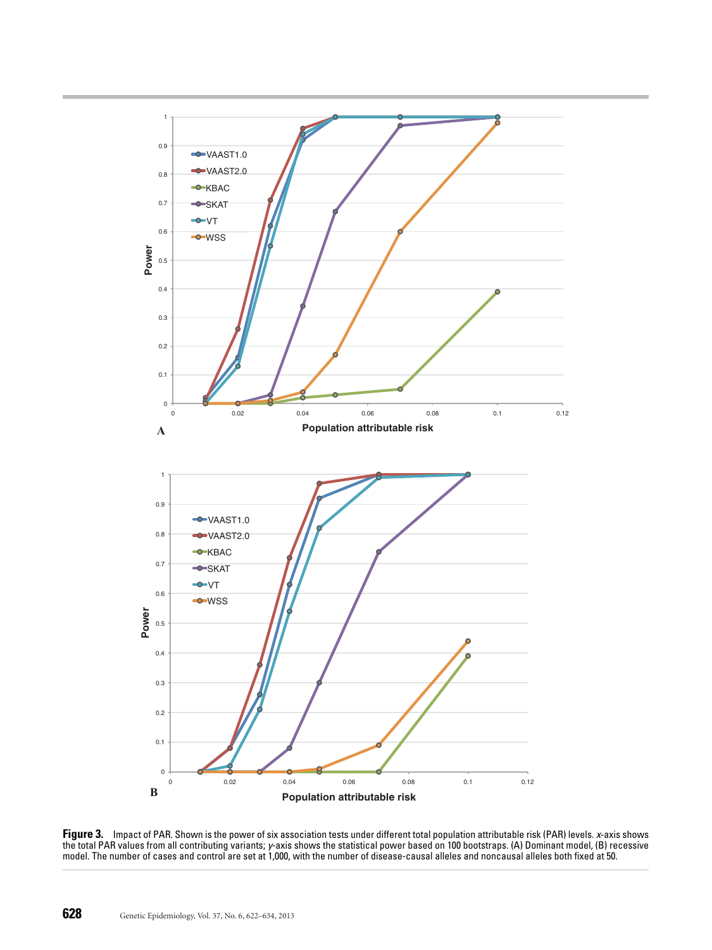

**Figure 3.** Impact of PAR. Shown is the power of six association tests under different total population attributable risk (PAR) levels. *x*-axis shows the total PAR values from all contributing variants; *y*-axis shows the statistical power based on 100 bootstraps. (A) Dominant model, (B) recessive model. The number of cases and control are set at 1,000, with the number of disease-causal alleles and noncausal alleles both fixed at 50.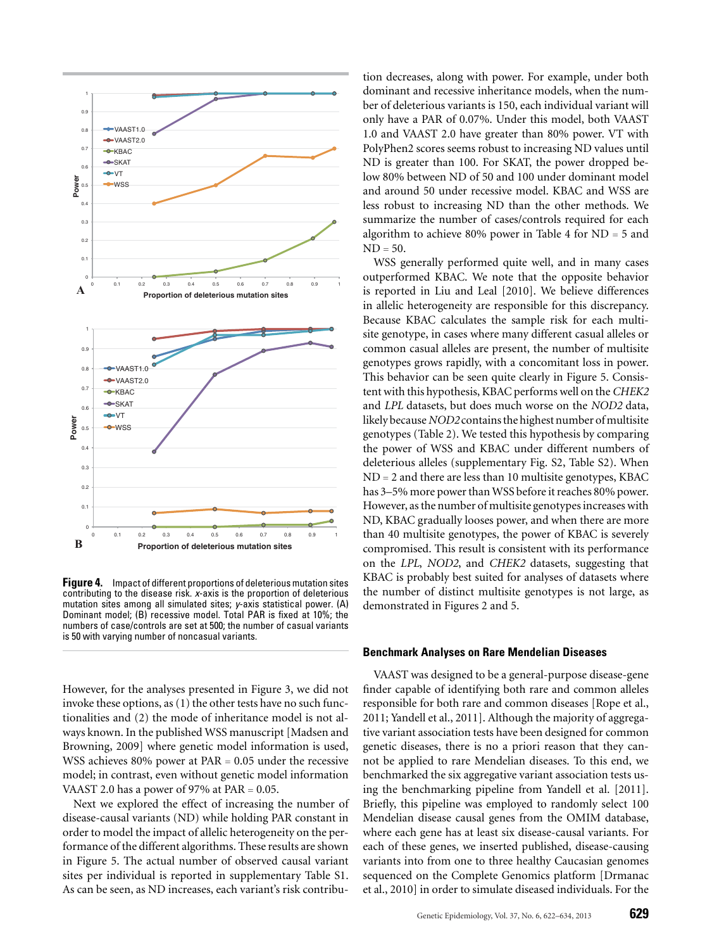

**Figure 4.** Impact of different proportions of deleterious mutation sites contributing to the disease risk. *x*-axis is the proportion of deleterious mutation sites among all simulated sites; *y*-axis statistical power. (A) Dominant model; (B) recessive model. Total PAR is fixed at 10%; the numbers of case/controls are set at 500; the number of casual variants is 50 with varying number of noncasual variants.

However, for the analyses presented in Figure 3, we did not invoke these options, as (1) the other tests have no such functionalities and (2) the mode of inheritance model is not always known. In the published WSS manuscript [Madsen and Browning, 2009] where genetic model information is used, WSS achieves 80% power at PAR = 0.05 under the recessive model; in contrast, even without genetic model information VAAST 2.0 has a power of 97% at  $PAR = 0.05$ .

Next we explored the effect of increasing the number of disease-causal variants (ND) while holding PAR constant in order to model the impact of allelic heterogeneity on the performance of the different algorithms. These results are shown in Figure 5. The actual number of observed causal variant sites per individual is reported in supplementary Table S1. As can be seen, as ND increases, each variant's risk contribu-

tion decreases, along with power. For example, under both dominant and recessive inheritance models, when the number of deleterious variants is 150, each individual variant will only have a PAR of 0.07%. Under this model, both VAAST 1.0 and VAAST 2.0 have greater than 80% power. VT with PolyPhen2 scores seems robust to increasing ND values until ND is greater than 100. For SKAT, the power dropped below 80% between ND of 50 and 100 under dominant model and around 50 under recessive model. KBAC and WSS are less robust to increasing ND than the other methods. We summarize the number of cases/controls required for each algorithm to achieve 80% power in Table 4 for  $ND = 5$  and  $ND = 50$ .

WSS generally performed quite well, and in many cases outperformed KBAC. We note that the opposite behavior is reported in Liu and Leal [2010]. We believe differences in allelic heterogeneity are responsible for this discrepancy. Because KBAC calculates the sample risk for each multisite genotype, in cases where many different casual alleles or common casual alleles are present, the number of multisite genotypes grows rapidly, with a concomitant loss in power. This behavior can be seen quite clearly in Figure 5. Consistent with this hypothesis, KBAC performs well on the *CHEK2* and *LPL* datasets, but does much worse on the *NOD2* data, likely because*NOD2* contains the highest number ofmultisite genotypes (Table 2). We tested this hypothesis by comparing the power of WSS and KBAC under different numbers of deleterious alleles (supplementary Fig. S2, Table S2). When ND = 2 and there are less than 10 multisite genotypes, KBAC has 3–5% more power than WSS before it reaches 80% power. However, as the number of multisite genotypes increases with ND, KBAC gradually looses power, and when there are more than 40 multisite genotypes, the power of KBAC is severely compromised. This result is consistent with its performance on the *LPL*, *NOD2*, and *CHEK2* datasets, suggesting that KBAC is probably best suited for analyses of datasets where the number of distinct multisite genotypes is not large, as demonstrated in Figures 2 and 5.

#### **Benchmark Analyses on Rare Mendelian Diseases**

VAAST was designed to be a general-purpose disease-gene finder capable of identifying both rare and common alleles responsible for both rare and common diseases [Rope et al., 2011; Yandell et al., 2011]. Although the majority of aggregative variant association tests have been designed for common genetic diseases, there is no a priori reason that they cannot be applied to rare Mendelian diseases. To this end, we benchmarked the six aggregative variant association tests using the benchmarking pipeline from Yandell et al. [2011]. Briefly, this pipeline was employed to randomly select 100 Mendelian disease causal genes from the OMIM database, where each gene has at least six disease-causal variants. For each of these genes, we inserted published, disease-causing variants into from one to three healthy Caucasian genomes sequenced on the Complete Genomics platform [Drmanac et al., 2010] in order to simulate diseased individuals. For the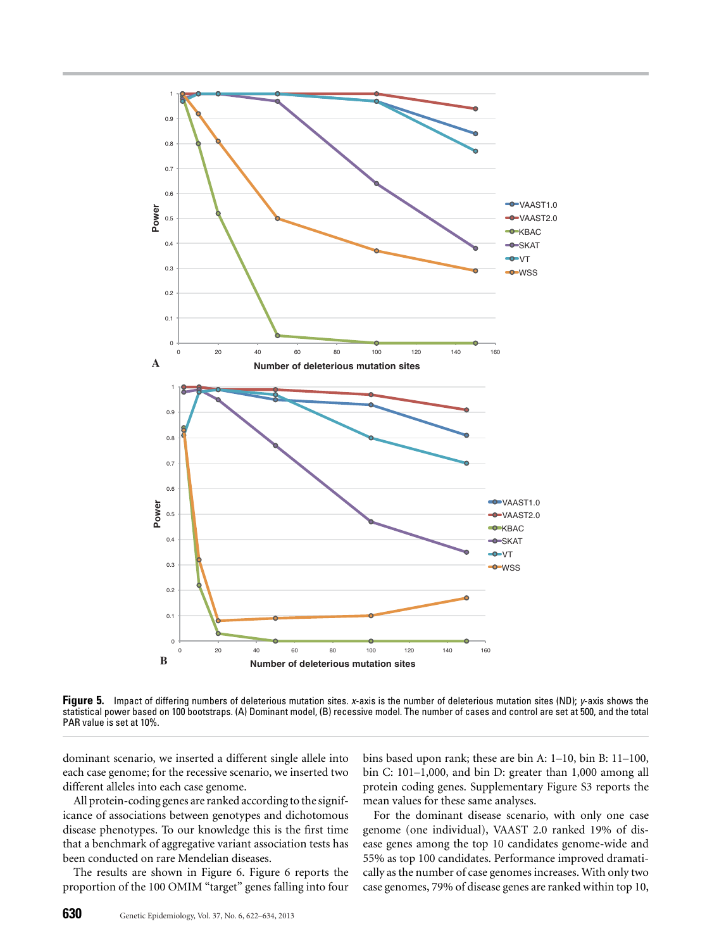

**Figure 5.** Impact of differing numbers of deleterious mutation sites. *x*-axis is the number of deleterious mutation sites (ND); *y*-axis shows the statistical power based on 100 bootstraps. (A) Dominant model, (B) recessive model. The number of cases and control are set at 500, and the total PAR value is set at 10%.

dominant scenario, we inserted a different single allele into each case genome; for the recessive scenario, we inserted two different alleles into each case genome.

All protein-coding genes are ranked according to the significance of associations between genotypes and dichotomous disease phenotypes. To our knowledge this is the first time that a benchmark of aggregative variant association tests has been conducted on rare Mendelian diseases.

The results are shown in Figure 6. Figure 6 reports the proportion of the 100 OMIM "target" genes falling into four

bins based upon rank; these are bin A: 1–10, bin B: 11–100, bin C: 101–1,000, and bin D: greater than 1,000 among all protein coding genes. Supplementary Figure S3 reports the mean values for these same analyses.

For the dominant disease scenario, with only one case genome (one individual), VAAST 2.0 ranked 19% of disease genes among the top 10 candidates genome-wide and 55% as top 100 candidates. Performance improved dramatically as the number of case genomes increases. With only two case genomes, 79% of disease genes are ranked within top 10,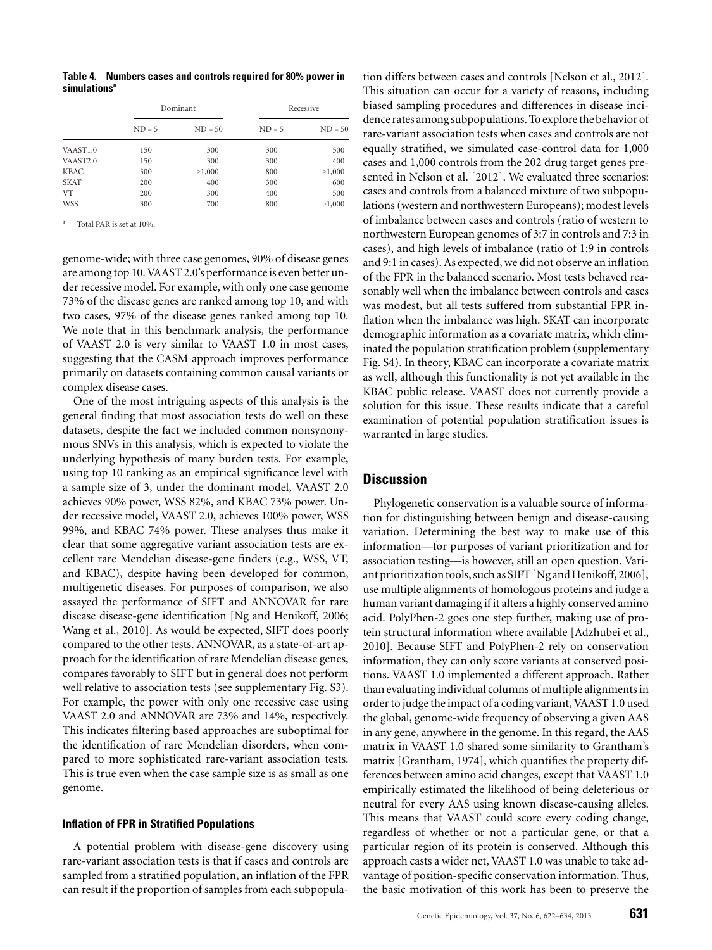**Table 4. Numbers cases and controls required for 80% power in simulationsa**

|                      | Dominant |           |          | Recessive |  |
|----------------------|----------|-----------|----------|-----------|--|
|                      | $ND = 5$ | $ND = 50$ | $ND = 5$ | $ND = 50$ |  |
| VAAST1.0             | 150      | 300       | 300      | 500       |  |
| VAAST <sub>2.0</sub> | 150      | 300       | 300      | 400       |  |
| <b>KBAC</b>          | 300      | >1,000    | 800      | >1,000    |  |
| <b>SKAT</b>          | 200      | 400       | 300      | 600       |  |
| <b>VT</b>            | 200      | 300       | 400      | 500       |  |
| <b>WSS</b>           | 300      | 700       | 800      | >1,000    |  |

Total PAR is set at 10%.

genome-wide; with three case genomes, 90% of disease genes are among top 10. VAAST 2.0's performance is even better under recessive model. For example, with only one case genome 73% of the disease genes are ranked among top 10, and with two cases, 97% of the disease genes ranked among top 10. We note that in this benchmark analysis, the performance of VAAST 2.0 is very similar to VAAST 1.0 in most cases, suggesting that the CASM approach improves performance primarily on datasets containing common causal variants or complex disease cases.

One of the most intriguing aspects of this analysis is the general finding that most association tests do well on these datasets, despite the fact we included common nonsynonymous SNVs in this analysis, which is expected to violate the underlying hypothesis of many burden tests. For example, using top 10 ranking as an empirical significance level with a sample size of 3, under the dominant model, VAAST 2.0 achieves 90% power, WSS 82%, and KBAC 73% power. Under recessive model, VAAST 2.0, achieves 100% power, WSS 99%, and KBAC 74% power. These analyses thus make it clear that some aggregative variant association tests are excellent rare Mendelian disease-gene finders (e.g., WSS, VT, and KBAC), despite having been developed for common, multigenetic diseases. For purposes of comparison, we also assayed the performance of SIFT and ANNOVAR for rare disease disease-gene identification [Ng and Henikoff, 2006; Wang et al., 2010]. As would be expected, SIFT does poorly compared to the other tests. ANNOVAR, as a state-of-art approach for the identification of rare Mendelian disease genes, compares favorably to SIFT but in general does not perform well relative to association tests (see supplementary Fig. S3). For example, the power with only one recessive case using VAAST 2.0 and ANNOVAR are 73% and 14%, respectively. This indicates filtering based approaches are suboptimal for the identification of rare Mendelian disorders, when compared to more sophisticated rare-variant association tests. This is true even when the case sample size is as small as one genome.

## **Inflation of FPR in Stratified Populations**

A potential problem with disease-gene discovery using rare-variant association tests is that if cases and controls are sampled from a stratified population, an inflation of the FPR can result if the proportion of samples from each subpopulation differs between cases and controls [Nelson et al., 2012]. This situation can occur for a variety of reasons, including biased sampling procedures and differences in disease incidence rates among subpopulations. To explore the behavior of rare-variant association tests when cases and controls are not equally stratified, we simulated case-control data for 1,000 cases and 1,000 controls from the 202 drug target genes presented in Nelson et al. [2012]. We evaluated three scenarios: cases and controls from a balanced mixture of two subpopulations (western and northwestern Europeans); modest levels of imbalance between cases and controls (ratio of western to northwestern European genomes of 3:7 in controls and 7:3 in cases), and high levels of imbalance (ratio of 1:9 in controls and 9:1 in cases). As expected, we did not observe an inflation of the FPR in the balanced scenario. Most tests behaved reasonably well when the imbalance between controls and cases was modest, but all tests suffered from substantial FPR inflation when the imbalance was high. SKAT can incorporate demographic information as a covariate matrix, which eliminated the population stratification problem (supplementary Fig. S4). In theory, KBAC can incorporate a covariate matrix as well, although this functionality is not yet available in the KBAC public release. VAAST does not currently provide a solution for this issue. These results indicate that a careful examination of potential population stratification issues is warranted in large studies.

# **Discussion**

Phylogenetic conservation is a valuable source of information for distinguishing between benign and disease-causing variation. Determining the best way to make use of this information—for purposes of variant prioritization and for association testing—is however, still an open question. Variant prioritization tools, such as SIFT [Ng and Henikoff, 2006], use multiple alignments of homologous proteins and judge a human variant damaging if it alters a highly conserved amino acid. PolyPhen-2 goes one step further, making use of protein structural information where available [Adzhubei et al., 2010]. Because SIFT and PolyPhen-2 rely on conservation information, they can only score variants at conserved positions. VAAST 1.0 implemented a different approach. Rather than evaluating individual columns of multiple alignments in order to judge the impact of a coding variant, VAAST 1.0 used the global, genome-wide frequency of observing a given AAS in any gene, anywhere in the genome. In this regard, the AAS matrix in VAAST 1.0 shared some similarity to Grantham's matrix [Grantham, 1974], which quantifies the property differences between amino acid changes, except that VAAST 1.0 empirically estimated the likelihood of being deleterious or neutral for every AAS using known disease-causing alleles. This means that VAAST could score every coding change, regardless of whether or not a particular gene, or that a particular region of its protein is conserved. Although this approach casts a wider net, VAAST 1.0 was unable to take advantage of position-specific conservation information. Thus, the basic motivation of this work has been to preserve the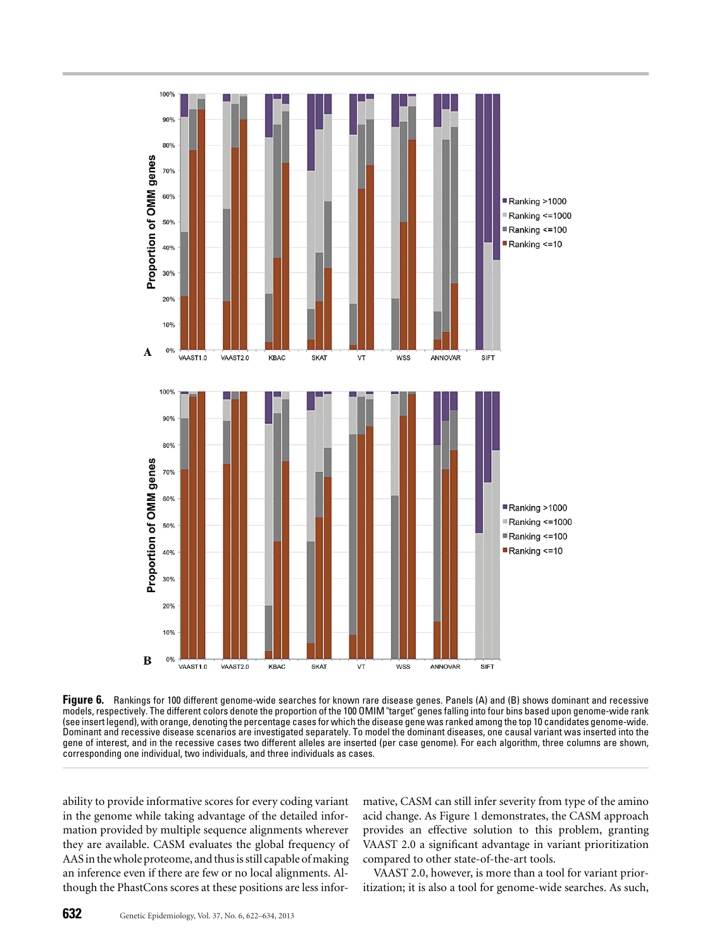

**Figure 6.** Rankings for 100 different genome-wide searches for known rare disease genes. Panels (A) and (B) shows dominant and recessive models, respectively. The different colors denote the proportion of the 100 OMIM "target" genes falling into four bins based upon genome-wide rank (see insert legend), with orange, denoting the percentage cases for which the disease gene was ranked among the top 10 candidates genome-wide. Dominant and recessive disease scenarios are investigated separately. To model the dominant diseases, one causal variant was inserted into the gene of interest, and in the recessive cases two different alleles are inserted (per case genome). For each algorithm, three columns are shown, corresponding one individual, two individuals, and three individuals as cases.

ability to provide informative scores for every coding variant in the genome while taking advantage of the detailed information provided by multiple sequence alignments wherever they are available. CASM evaluates the global frequency of AAS in the whole proteome, and thus is still capable of making an inference even if there are few or no local alignments. Although the PhastCons scores at these positions are less informative, CASM can still infer severity from type of the amino acid change. As Figure 1 demonstrates, the CASM approach provides an effective solution to this problem, granting VAAST 2.0 a significant advantage in variant prioritization compared to other state-of-the-art tools.

VAAST 2.0, however, is more than a tool for variant prioritization; it is also a tool for genome-wide searches. As such,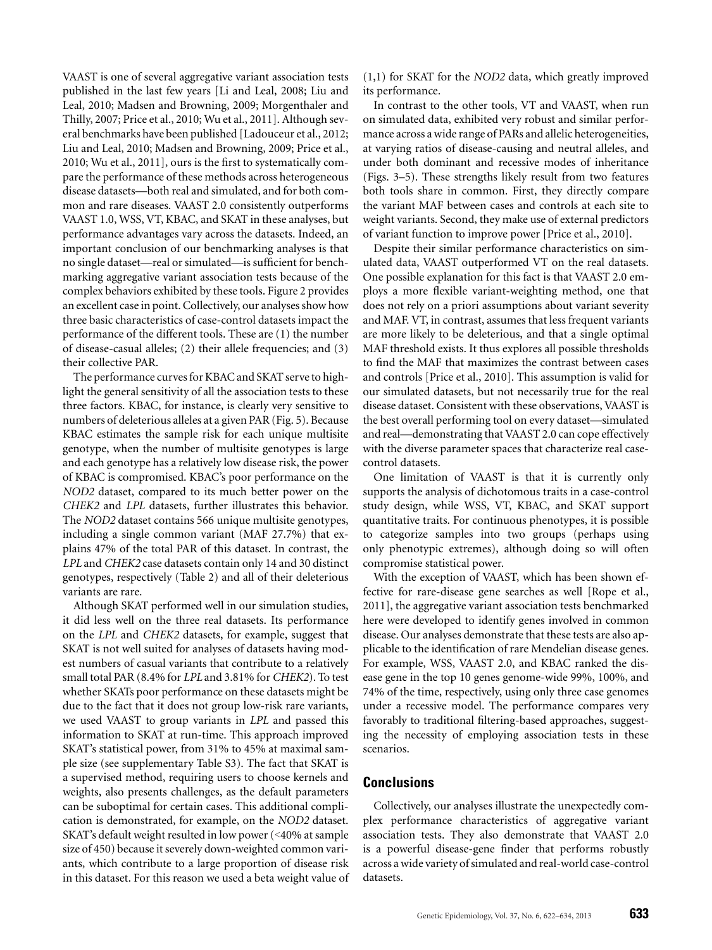VAAST is one of several aggregative variant association tests published in the last few years [Li and Leal, 2008; Liu and Leal, 2010; Madsen and Browning, 2009; Morgenthaler and Thilly, 2007; Price et al., 2010; Wu et al., 2011]. Although several benchmarks have been published [Ladouceur et al., 2012; Liu and Leal, 2010; Madsen and Browning, 2009; Price et al., 2010; Wu et al., 2011], ours is the first to systematically compare the performance of these methods across heterogeneous disease datasets—both real and simulated, and for both common and rare diseases. VAAST 2.0 consistently outperforms VAAST 1.0, WSS, VT, KBAC, and SKAT in these analyses, but performance advantages vary across the datasets. Indeed, an important conclusion of our benchmarking analyses is that no single dataset—real or simulated—is sufficient for benchmarking aggregative variant association tests because of the complex behaviors exhibited by these tools. Figure 2 provides an excellent case in point. Collectively, our analyses show how three basic characteristics of case-control datasets impact the performance of the different tools. These are (1) the number of disease-casual alleles; (2) their allele frequencies; and (3) their collective PAR.

The performance curves for KBAC and SKAT serve to highlight the general sensitivity of all the association tests to these three factors. KBAC, for instance, is clearly very sensitive to numbers of deleterious alleles at a given PAR (Fig. 5). Because KBAC estimates the sample risk for each unique multisite genotype, when the number of multisite genotypes is large and each genotype has a relatively low disease risk, the power of KBAC is compromised. KBAC's poor performance on the *NOD2* dataset, compared to its much better power on the *CHEK2* and *LPL* datasets, further illustrates this behavior. The *NOD2* dataset contains 566 unique multisite genotypes, including a single common variant (MAF 27.7%) that explains 47% of the total PAR of this dataset. In contrast, the *LPL* and *CHEK2* case datasets contain only 14 and 30 distinct genotypes, respectively (Table 2) and all of their deleterious variants are rare.

Although SKAT performed well in our simulation studies, it did less well on the three real datasets. Its performance on the *LPL* and *CHEK2* datasets, for example, suggest that SKAT is not well suited for analyses of datasets having modest numbers of casual variants that contribute to a relatively small total PAR (8.4% for *LPL* and 3.81% for *CHEK2*). To test whether SKATs poor performance on these datasets might be due to the fact that it does not group low-risk rare variants, we used VAAST to group variants in *LPL* and passed this information to SKAT at run-time. This approach improved SKAT's statistical power, from 31% to 45% at maximal sample size (see supplementary Table S3). The fact that SKAT is a supervised method, requiring users to choose kernels and weights, also presents challenges, as the default parameters can be suboptimal for certain cases. This additional complication is demonstrated, for example, on the *NOD2* dataset. SKAT's default weight resulted in low power (<40% at sample size of 450) because it severely down-weighted common variants, which contribute to a large proportion of disease risk in this dataset. For this reason we used a beta weight value of (1,1) for SKAT for the *NOD2* data, which greatly improved its performance.

In contrast to the other tools, VT and VAAST, when run on simulated data, exhibited very robust and similar performance across a wide range of PARs and allelic heterogeneities, at varying ratios of disease-causing and neutral alleles, and under both dominant and recessive modes of inheritance (Figs. 3–5). These strengths likely result from two features both tools share in common. First, they directly compare the variant MAF between cases and controls at each site to weight variants. Second, they make use of external predictors of variant function to improve power [Price et al., 2010].

Despite their similar performance characteristics on simulated data, VAAST outperformed VT on the real datasets. One possible explanation for this fact is that VAAST 2.0 employs a more flexible variant-weighting method, one that does not rely on a priori assumptions about variant severity and MAF. VT, in contrast, assumes that less frequent variants are more likely to be deleterious, and that a single optimal MAF threshold exists. It thus explores all possible thresholds to find the MAF that maximizes the contrast between cases and controls [Price et al., 2010]. This assumption is valid for our simulated datasets, but not necessarily true for the real disease dataset. Consistent with these observations, VAAST is the best overall performing tool on every dataset—simulated and real—demonstrating that VAAST 2.0 can cope effectively with the diverse parameter spaces that characterize real casecontrol datasets.

One limitation of VAAST is that it is currently only supports the analysis of dichotomous traits in a case-control study design, while WSS, VT, KBAC, and SKAT support quantitative traits. For continuous phenotypes, it is possible to categorize samples into two groups (perhaps using only phenotypic extremes), although doing so will often compromise statistical power.

With the exception of VAAST, which has been shown effective for rare-disease gene searches as well [Rope et al., 2011], the aggregative variant association tests benchmarked here were developed to identify genes involved in common disease. Our analyses demonstrate that these tests are also applicable to the identification of rare Mendelian disease genes. For example, WSS, VAAST 2.0, and KBAC ranked the disease gene in the top 10 genes genome-wide 99%, 100%, and 74% of the time, respectively, using only three case genomes under a recessive model. The performance compares very favorably to traditional filtering-based approaches, suggesting the necessity of employing association tests in these scenarios.

# **Conclusions**

Collectively, our analyses illustrate the unexpectedly complex performance characteristics of aggregative variant association tests. They also demonstrate that VAAST 2.0 is a powerful disease-gene finder that performs robustly across a wide variety of simulated and real-world case-control datasets.